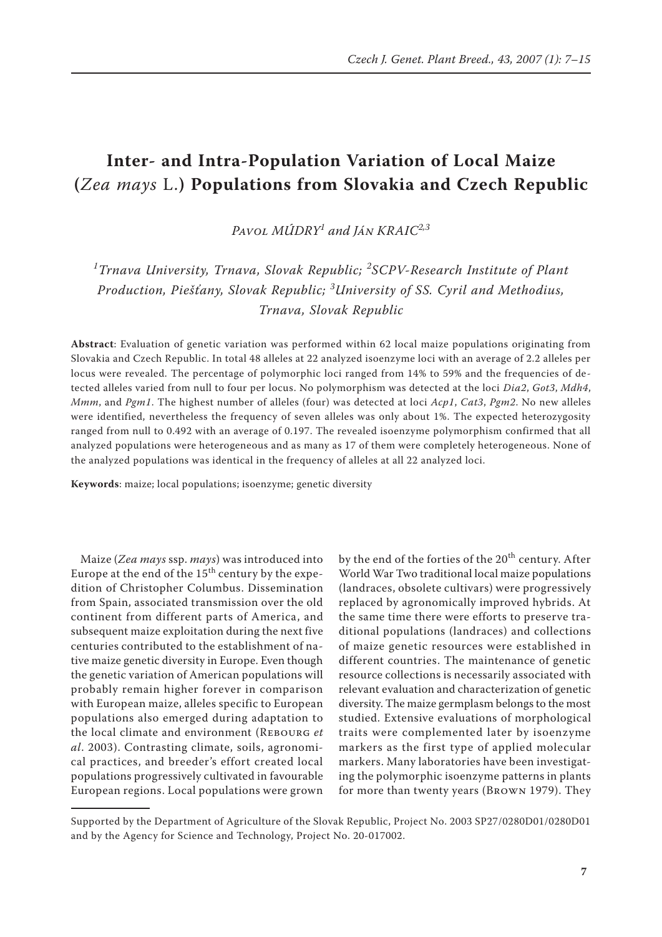## **Inter- and Intra-Population Variation of Local Maize (***Zea mays* L.**) Populations from Slovakia and Czech Republic**

*Pavol Múdry<sup>1</sup> and Ján Kraic2,3*

*1 Trnava University, Trnava, Slovak Republic; <sup>2</sup> SCPV-Research Institute of Plant Production, Piešťany, Slovak Republic; <sup>3</sup> University of SS. Cyril and Methodius, Trnava, Slovak Republic*

**Abstract**: Evaluation of genetic variation was performed within 62 local maize populations originating from Slovakia and Czech Republic. In total 48 alleles at 22 analyzed isoenzyme loci with an average of 2.2 alleles per locus were revealed. The percentage of polymorphic loci ranged from 14% to 59% and the frequencies of detected alleles varied from null to four per locus. No polymorphism was detected at the loci *Dia2*, *Got3*, *Mdh4*, *Mmm*, and *Pgm1*. The highest number of alleles (four) was detected at loci *Acp1*, *Cat3*, *Pgm2*. No new alleles were identified, nevertheless the frequency of seven alleles was only about 1%. The expected heterozygosity ranged from null to 0.492 with an average of 0.197. The revealed isoenzyme polymorphism confirmed that all analyzed populations were heterogeneous and as many as 17 of them were completely heterogeneous. None of the analyzed populations was identical in the frequency of alleles at all 22 analyzed loci.

**Keywords**: maize; local populations; isoenzyme; genetic diversity

Maize (*Zea mays* ssp. *mays*) was introduced into Europe at the end of the  $15<sup>th</sup>$  century by the expedition of Christopher Columbus. Dissemination from Spain, associated transmission over the old continent from different parts of America, and subsequent maize exploitation during the next five centuries contributed to the establishment of native maize genetic diversity in Europe. Even though the genetic variation of American populations will probably remain higher forever in comparison with European maize, alleles specific to European populations also emerged during adaptation to the local climate and environment (Rebourg *et al*. 2003). Contrasting climate, soils, agronomical practices, and breeder's effort created local populations progressively cultivated in favourable European regions. Local populations were grown

by the end of the forties of the 20<sup>th</sup> century. After World War Two traditional local maize populations (landraces, obsolete cultivars) were progressively replaced by agronomically improved hybrids. At the same time there were efforts to preserve traditional populations (landraces) and collections of maize genetic resources were established in different countries. The maintenance of genetic resource collections is necessarily associated with relevant evaluation and characterization of genetic diversity. The maize germplasm belongs to the most studied. Extensive evaluations of morphological traits were complemented later by isoenzyme markers as the first type of applied molecular markers. Many laboratories have been investigating the polymorphic isoenzyme patterns in plants for more than twenty years (Brown 1979). They

Supported by the Department of Agriculture of the Slovak Republic, Project No. 2003 SP27/0280D01/0280D01 and by the Agency for Science and Technology, Project No. 20-017002.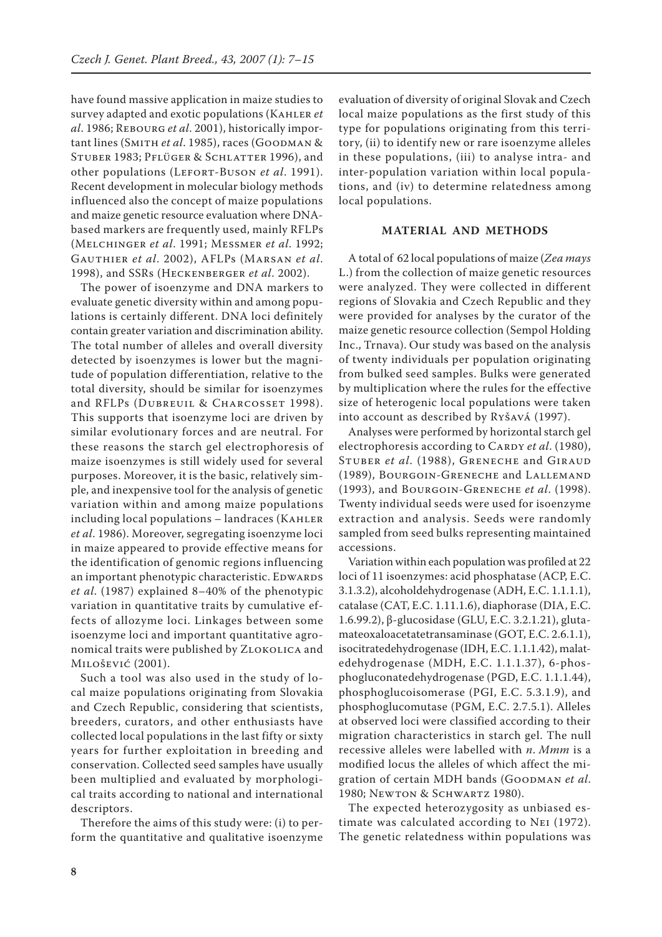have found massive application in maize studies to survey adapted and exotic populations (Kahler *et al*. 1986; Rebourg *et al*. 2001), historically important lines (Smith *et al*. 1985), races (Goodman & STUBER 1983; PFLÜGER & SCHLATTER 1996), and other populations (Lefort-Buson *et al*. 1991). Recent development in molecular biology methods influenced also the concept of maize populations and maize genetic resource evaluation where DNAbased markers are frequently used, mainly RFLPs (Melchinger *et al*. 1991; Messmer *et al*. 1992; Gauthier *et al*. 2002), AFLPs (Marsan *et al*. 1998), and SSRs (Heckenberger *et al*. 2002).

The power of isoenzyme and DNA markers to evaluate genetic diversity within and among populations is certainly different. DNA loci definitely contain greater variation and discrimination ability. The total number of alleles and overall diversity detected by isoenzymes is lower but the magnitude of population differentiation, relative to the total diversity, should be similar for isoenzymes and RFLPs (DUBREUIL & CHARCOSSET 1998). This supports that isoenzyme loci are driven by similar evolutionary forces and are neutral. For these reasons the starch gel electrophoresis of maize isoenzymes is still widely used for several purposes. Moreover, it is the basic, relatively simple, and inexpensive tool for the analysis of genetic variation within and among maize populations including local populations – landraces (Kahler *et al*. 1986). Moreover, segregating isoenzyme loci in maize appeared to provide effective means for the identification of genomic regions influencing an important phenotypic characteristic. EDWARDS *et al*. (1987) explained 8–40% of the phenotypic variation in quantitative traits by cumulative effects of allozyme loci. Linkages between some isoenzyme loci and important quantitative agronomical traits were published by ZLOKOLICA and Milošević (2001).

Such a tool was also used in the study of local maize populations originating from Slovakia and Czech Republic, considering that scientists, breeders, curators, and other enthusiasts have collected local populations in the last fifty or sixty years for further exploitation in breeding and conservation. Collected seed samples have usually been multiplied and evaluated by morphological traits according to national and international descriptors.

Therefore the aims of this study were: (i) to perform the quantitative and qualitative isoenzyme

evaluation of diversity of original Slovak and Czech local maize populations as the first study of this type for populations originating from this territory, (ii) to identify new or rare isoenzyme alleles in these populations, (iii) to analyse intra- and inter-population variation within local populations, and (iv) to determine relatedness among local populations.

## **MATERIAL AND METHODS**

A total of 62 local populations of maize (*Zea mays*  L.) from the collection of maize genetic resources were analyzed. They were collected in different regions of Slovakia and Czech Republic and they were provided for analyses by the curator of the maize genetic resource collection (Sempol Holding Inc., Trnava). Our study was based on the analysis of twenty individuals per population originating from bulked seed samples. Bulks were generated by multiplication where the rules for the effective size of heterogenic local populations were taken into account as described by Ryšavá (1997).

Analyses were performed by horizontal starch gel electrophoresis according to CARDY *et al.* (1980), Stuber *et al*. (1988), Greneche and Giraud (1989), Bourgoin-Greneche and Lallemand (1993), and Bourgoin-Greneche *et al*. (1998). Twenty individual seeds were used for isoenzyme extraction and analysis. Seeds were randomly sampled from seed bulks representing maintained accessions.

Variation within each population was profiled at 22 loci of 11 isoenzymes: acid phosphatase (ACP, E.C. 3.1.3.2), alcoholdehydrogenase (ADH, E.C. 1.1.1.1), catalase (CAT, E.C. 1.11.1.6), diaphorase (DIA, E.C. 1.6.99.2), β-glucosidase (GLU, E.C. 3.2.1.21), glutamateoxaloacetatetransaminase (GOT, E.C. 2.6.1.1), isocitratedehydrogenase (IDH, E.C. 1.1.1.42), malatedehydrogenase (MDH, E.C. 1.1.1.37), 6-phosphogluconatedehydrogenase (PGD, E.C. 1.1.1.44), phosphoglucoisomerase (PGI, E.C. 5.3.1.9), and phosphoglucomutase (PGM, E.C. 2.7.5.1). Alleles at observed loci were classified according to their migration characteristics in starch gel. The null recessive alleles were labelled with *n*. *Mmm* is a modified locus the alleles of which affect the migration of certain MDH bands (GOODMAN et al. 1980; Newton & Schwartz 1980).

The expected heterozygosity as unbiased estimate was calculated according to Nei (1972). The genetic relatedness within populations was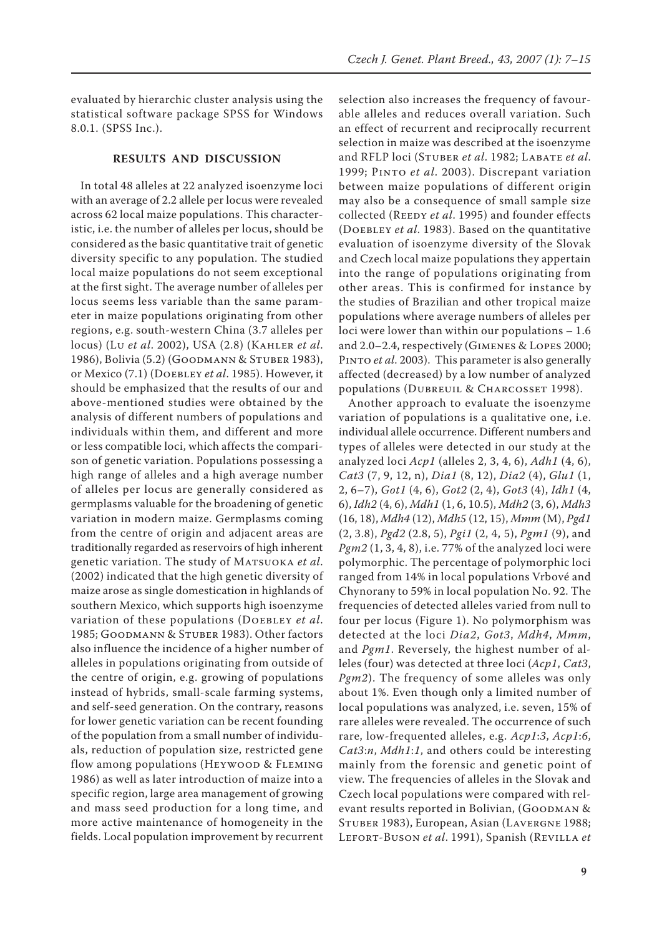evaluated by hierarchic cluster analysis using the statistical software package SPSS for Windows 8.0.1. (SPSS Inc.).

## **RESULTS AND DISCUSSION**

In total 48 alleles at 22 analyzed isoenzyme loci with an average of 2.2 allele per locus were revealed across 62 local maize populations. This characteristic, i.e. the number of alleles per locus, should be considered as the basic quantitative trait of genetic diversity specific to any population. The studied local maize populations do not seem exceptional at the first sight. The average number of alleles per locus seems less variable than the same parameter in maize populations originating from other regions, e.g. south-western China (3.7 alleles per locus) (Lu *et al*. 2002), USA (2.8) (Kahler *et al*. 1986), Bolivia (5.2) (Goodmann & Stuber 1983), or Mexico (7.1) (Doebley *et al*. 1985). However, it should be emphasized that the results of our and above-mentioned studies were obtained by the analysis of different numbers of populations and individuals within them, and different and more or less compatible loci, which affects the comparison of genetic variation. Populations possessing a high range of alleles and a high average number of alleles per locus are generally considered as germplasms valuable for the broadening of genetic variation in modern maize. Germplasms coming from the centre of origin and adjacent areas are traditionally regarded as reservoirs of high inherent genetic variation. The study of Matsuoka *et al*. (2002) indicated that the high genetic diversity of maize arose as single domestication in highlands of southern Mexico, which supports high isoenzyme variation of these populations (Doebley *et al*. 1985; Goodmann & Stuber 1983). Other factors also influence the incidence of a higher number of alleles in populations originating from outside of the centre of origin, e.g. growing of populations instead of hybrids, small-scale farming systems, and self-seed generation. On the contrary, reasons for lower genetic variation can be recent founding of the population from a small number of individuals, reduction of population size, restricted gene flow among populations (HEYWOOD & FLEMING 1986) as well as later introduction of maize into a specific region, large area management of growing and mass seed production for a long time, and more active maintenance of homogeneity in the fields. Local population improvement by recurrent

selection also increases the frequency of favourable alleles and reduces overall variation. Such an effect of recurrent and reciprocally recurrent selection in maize was described at the isoenzyme and RFLP loci (Stuber *et al*. 1982; Labate *et al*. 1999; Pinto *et al*. 2003). Discrepant variation between maize populations of different origin may also be a consequence of small sample size collected (REEDY et al. 1995) and founder effects (Doebley *et al*. 1983). Based on the quantitative evaluation of isoenzyme diversity of the Slovak and Czech local maize populations they appertain into the range of populations originating from other areas. This is confirmed for instance by the studies of Brazilian and other tropical maize populations where average numbers of alleles per loci were lower than within our populations – 1.6 and 2.0–2.4, respectively (Gimenes & Lopes 2000; Pinto *et al*. 2003). This parameter is also generally affected (decreased) by a low number of analyzed populations (DUBREUIL & CHARCOSSET 1998).

Another approach to evaluate the isoenzyme variation of populations is a qualitative one, i.e. individual allele occurrence. Different numbers and types of alleles were detected in our study at the analyzed loci *Acp1* (alleles 2, 3, 4, 6), *Adh1* (4, 6), *Cat3* (7, 9, 12, n), *Dia1* (8, 12), *Dia2* (4), *Glu1* (1, 2, 6–7), *Got1* (4, 6), *Got2* (2, 4), *Got3* (4), *Idh1* (4, 6), *Idh2* (4, 6), *Mdh1* (1, 6, 10.5), *Mdh2* (3, 6), *Mdh3* (16, 18), *Mdh4* (12), *Mdh5* (12, 15), *Mmm* (M), *Pgd1* (2, 3.8), *Pgd2* (2.8, 5), *Pgi1* (2, 4, 5), *Pgm1* (9), and *Pgm2* (1, 3, 4, 8), i.e. 77% of the analyzed loci were polymorphic. The percentage of polymorphic loci ranged from 14% in local populations Vrbové and Chynorany to 59% in local population No. 92. The frequencies of detected alleles varied from null to four per locus (Figure 1). No polymorphism was detected at the loci *Dia2*, *Got3*, *Mdh4*, *Mmm*, and *Pgm1*. Reversely, the highest number of alleles (four) was detected at three loci (*Acp1*, *Cat3*, *Pgm2*). The frequency of some alleles was only about 1%. Even though only a limited number of local populations was analyzed, i.e. seven, 15% of rare alleles were revealed. The occurrence of such rare, low-frequented alleles, e.g. *Acp1*:*3*, *Acp1*:*6*, *Cat3*:*n*, *Mdh1*:*1*, and others could be interesting mainly from the forensic and genetic point of view. The frequencies of alleles in the Slovak and Czech local populations were compared with relevant results reported in Bolivian, (GOODMAN & Stuber 1983), European, Asian (Lavergne 1988; Lefort-Buson *et al*. 1991), Spanish (Revilla *et*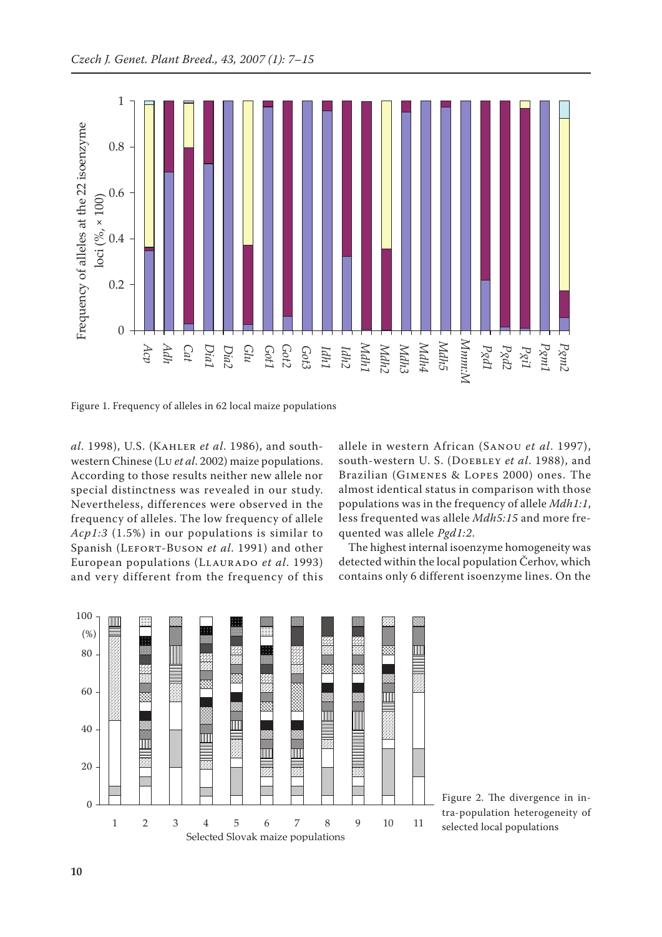

Figure 1. Frequency of alleles in 62 local maize populations

*al*. 1998), U.S. (Kahler *et al*. 1986), and southwestern Chinese (Lu *et al*. 2002) maize populations. According to those results neither new allele nor special distinctness was revealed in our study. Nevertheless, differences were observed in the frequency of alleles. The low frequency of allele *Acp1:3* (1.5%) in our populations is similar to Spanish (Lefort-Buson *et al*. 1991) and other European populations (Llaurado *et al*. 1993) and very different from the frequency of this allele in western African (Sanou *et al*. 1997), south-western U. S. (Doebley *et al*. 1988), and Brazilian (Gimenes & Lopes 2000) ones. The almost identical status in comparison with those populations was in the frequency of allele *Mdh1:1*, less frequented was allele *Mdh5:15* and more frequented was allele *Pgd1:2*.

The highest internal isoenzyme homogeneity was detected within the local population Čerhov, which contains only 6 different isoenzyme lines. On the



Figure 2. The divergence in intra-population heterogeneity of selected local populations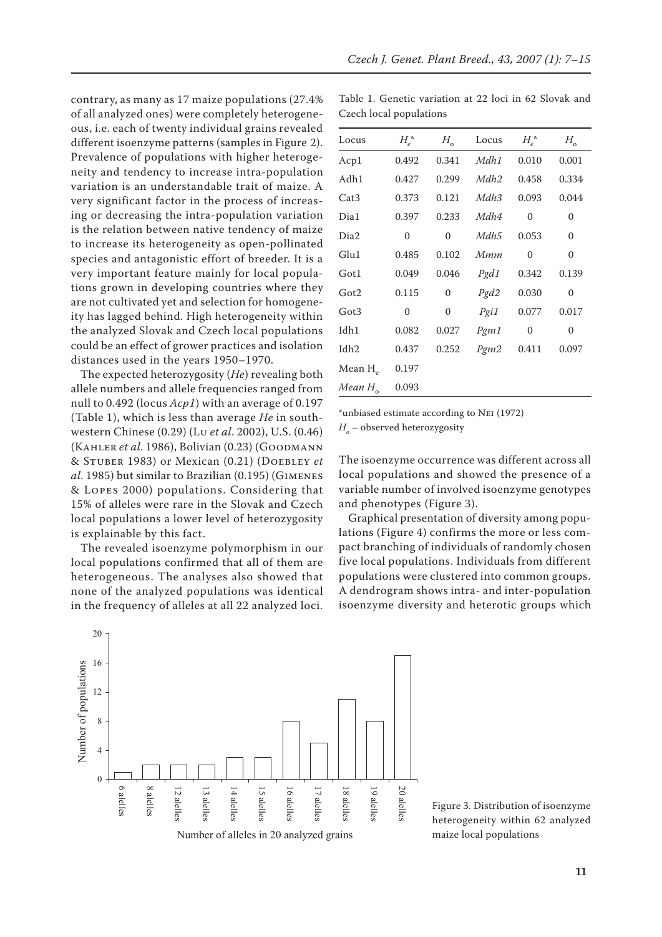contrary, as many as 17 maize populations (27.4% of all analyzed ones) were completely heterogeneous, i.e. each of twenty individual grains revealed different isoenzyme patterns (samples in Figure 2). Prevalence of populations with higher heterogeneity and tendency to increase intra-population variation is an understandable trait of maize. A very significant factor in the process of increasing or decreasing the intra-population variation is the relation between native tendency of maize to increase its heterogeneity as open-pollinated species and antagonistic effort of breeder. It is a very important feature mainly for local populations grown in developing countries where they are not cultivated yet and selection for homogeneity has lagged behind. High heterogeneity within the analyzed Slovak and Czech local populations could be an effect of grower practices and isolation distances used in the years 1950–1970.

The expected heterozygosity (*He*) revealing both allele numbers and allele frequencies ranged from null to 0.492 (locus *Acp1*) with an average of 0.197 (Table 1), which is less than average *He* in southwestern Chinese (0.29) (Lu *et al*. 2002), U.S. (0.46) (Kahler *et al*. 1986), Bolivian (0.23) (Goodmann & Stuber 1983) or Mexican (0.21) (Doebley *et al*. 1985) but similar to Brazilian (0.195) (Gimenes & Lopes 2000) populations. Considering that 15% of alleles were rare in the Slovak and Czech local populations a lower level of heterozygosity is explainable by this fact.

The revealed isoenzyme polymorphism in our local populations confirmed that all of them are heterogeneous. The analyses also showed that none of the analyzed populations was identical in the frequency of alleles at all 22 analyzed loci.



Table 1. Genetic variation at 22 loci in 62 Slovak and Czech local populations

| Locus                 | $H_e^*$      | $H_{\rm o}$      | Locus            | $H_e^*$      | $H_{\rm o}$  |
|-----------------------|--------------|------------------|------------------|--------------|--------------|
| Acp1                  | 0.492        | 0.341            | Mdh1             | 0.010        | 0.001        |
| Adh1                  | 0.427        | 0.299            | Mdh <sub>2</sub> | 0.458        | 0.334        |
| Cat <sub>3</sub>      | 0.373        | 0.121            | Mdh <sub>3</sub> | 0.093        | 0.044        |
| Dia1                  | 0.397        | 0.233            | Mdh4             | $\mathbf{0}$ | $\mathbf{0}$ |
| Dia2                  | $\mathbf{0}$ | 0                | Mdh5             | 0.053        | $\mathbf{0}$ |
| Glu1                  | 0.485        | 0.102            | Mmm              | $\mathbf{0}$ | $\mathbf{0}$ |
| Got1                  | 0.049        | 0.046            | Pgd1             | 0.342        | 0.139        |
| Got2                  | 0.115        | $\mathbf{0}$     | Pgd2             | 0.030        | $\mathbf{0}$ |
| Got3                  | $\mathbf{0}$ | $\boldsymbol{0}$ | Pgi1             | 0.077        | 0.017        |
| Idh1                  | 0.082        | 0.027            | Pgm1             | $\mathbf{0}$ | $\mathbf{0}$ |
| Idh2                  | 0.437        | 0.252            | Pgm2             | 0.411        | 0.097        |
| Mean $H$ <sub>e</sub> | 0.197        |                  |                  |              |              |
| $Mean H$ <sub>o</sub> | 0.093        |                  |                  |              |              |
|                       |              |                  |                  |              |              |

\*unbiased estimate according to Nei (1972)

*H<sub>o</sub>* – observed heterozygosity

The isoenzyme occurrence was different across all local populations and showed the presence of a variable number of involved isoenzyme genotypes and phenotypes (Figure 3).

Graphical presentation of diversity among populations (Figure 4) confirms the more or less compact branching of individuals of randomly chosen five local populations. Individuals from different populations were clustered into common groups. A dendrogram shows intra- and inter-population isoenzyme diversity and heterotic groups which

Figure 3. Distribution of isoenzyme heterogeneity within 62 analyzed maize local populations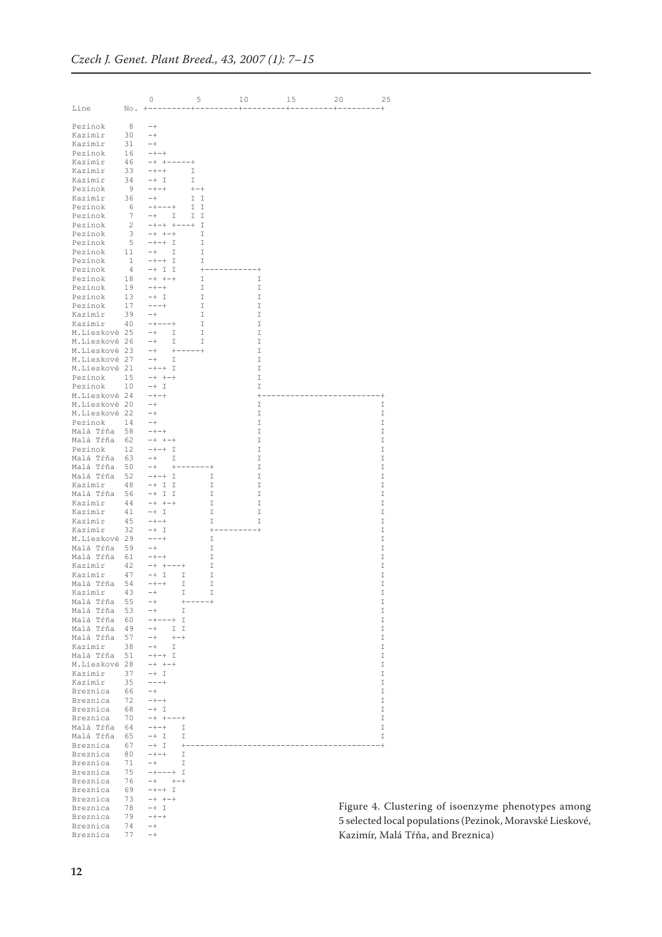|                                |                                | 0                                                | 5                | 10                       | 15 | 20                            | 25                 |
|--------------------------------|--------------------------------|--------------------------------------------------|------------------|--------------------------|----|-------------------------------|--------------------|
| Line                           | No.                            | +---------                                       |                  | --------+                |    | ---------+----------+-------+ |                    |
| Pezinok                        | - 8                            | $-+$                                             |                  |                          |    |                               |                    |
| Kazimír                        | 30                             | $-+$                                             |                  |                          |    |                               |                    |
| Kazimír                        | 31                             | $-+$                                             |                  |                          |    |                               |                    |
| Pezinok                        | 16                             | $- + - +$                                        |                  |                          |    |                               |                    |
| Kazimír                        | 46                             | $+ - - - - - +$<br>$-+$                          |                  |                          |    |                               |                    |
| Kazimír<br>Kazimír             | 33<br>34                       | $- + - +$<br>$-+$ I                              | Ι<br>I           |                          |    |                               |                    |
| Pezinok                        | - 9                            | $- + - +$                                        | $+ - +$          |                          |    |                               |                    |
| Kazimír                        | 36                             | $-+$                                             | I.<br>I          |                          |    |                               |                    |
| Pezinok                        | - 6                            | $-+ - - - +$                                     | I.<br>I          |                          |    |                               |                    |
| Pezinok                        | 7                              | $-+$<br>I                                        | I.<br>I          |                          |    |                               |                    |
| Pezinok<br>Pezinok             | $\overline{2}$<br>$\mathbf{3}$ | $-+-+$ +---+ I<br>$-+ + - +$                     | I                |                          |    |                               |                    |
| Pezinok                        | - 5                            | $-+-+$ I                                         | I                |                          |    |                               |                    |
| Pezinok                        | 11                             | $-+$<br>I                                        | I                |                          |    |                               |                    |
| Pezinok                        | $\mathbf{1}$                   | $-+-+$ I                                         | I                |                          |    |                               |                    |
| Pezinok                        | $\overline{4}$                 | $-+$ I I                                         | $+$              | $^{+}$                   |    |                               |                    |
| Pezinok                        | 18                             | $- + + - +$                                      | I                | I                        |    |                               |                    |
| Pezinok<br>Pezinok             | 19<br>13                       | $- + - +$<br>$-+$ I                              | Ι<br>Ι           | I<br>I                   |    |                               |                    |
| Pezinok                        | 17                             | $--- +$                                          | I                | I                        |    |                               |                    |
| Kazimír                        | 39                             | $-+$                                             | Ι                | Ι                        |    |                               |                    |
| Kazimír                        | 40                             | $-+---+$                                         | Ι                | I                        |    |                               |                    |
| M.Lieskové 25                  |                                | $-+$<br>Ι                                        | I                | I                        |    |                               |                    |
| M.Lieskové 26                  |                                | I<br>$-+$                                        | Ι                | I                        |    |                               |                    |
| M.Lieskové 23<br>M.Lieskové 27 |                                | $-+$<br>$-+$<br>Ι                                | $+ - - - - +$    | I<br>I                   |    |                               |                    |
| M.Lieskové 21                  |                                | $-+ - +$ I                                       |                  | Ι                        |    |                               |                    |
| Pezinok                        | 15                             | $-+ + - +$                                       |                  | I                        |    |                               |                    |
| Pezinok                        | 10                             | $-+$ I                                           |                  | I                        |    |                               |                    |
| M.Lieskové 24                  |                                | $- + - +$                                        |                  | $+$                      |    |                               | - +                |
| M.Lieskové 20                  |                                | $-+$                                             |                  | I                        |    |                               | I                  |
| M.Lieskové 22<br>Pezinok       | 14                             | $-+$<br>$-+$                                     |                  | I<br>Ι                   |    |                               | I<br>I             |
| Malá Tŕňa                      | 58                             | $- + - +$                                        |                  | I                        |    |                               | I                  |
| Malá Tŕňa                      | 62                             | $-+ + - +$                                       |                  | Ι                        |    |                               | I                  |
| Pezinok                        | 12                             | $-+-+$ I                                         |                  | I                        |    |                               | I                  |
| Malá Tŕňa                      | 63                             | $-+$<br>Ι                                        |                  | Ι                        |    |                               | I                  |
| Malá Tŕňa<br>Malá Tŕňa         | 50<br>52                       | $-+$<br>$+ -$<br>$-+ - + \quad \underline{\top}$ |                  | I<br>- +<br>I<br>Ι       |    |                               | I<br>I             |
| Kazimír                        | 48                             | $-+$ I I                                         |                  | I<br>Ι                   |    |                               | I                  |
| Malá Tŕňa                      | 56                             | $-+$ I I                                         |                  | I<br>I                   |    |                               | I                  |
| Kazimír                        | 44                             | $-+ + - +$                                       |                  | I<br>I                   |    |                               | $\mathbbm{I}$      |
| Kazimír                        | 41                             | $-+$ I                                           |                  | I<br>I                   |    |                               | I                  |
| Kazimír<br>Kazimír             | 45                             | $- + - +$                                        |                  | I<br>I                   |    |                               | I<br>$\mathbbm{I}$ |
| M.Lieskové 29                  | 32                             | $-+$ I<br>$-- +$                                 |                  | $+ \cdot$<br>$^{+}$<br>I |    |                               | I                  |
| Malá Tŕňa                      | 59                             | $-+$                                             |                  | I                        |    |                               | I                  |
| Malá Tŕňa                      | 61                             | $- + - +$                                        |                  | I                        |    |                               | I                  |
| Kazimír                        | 42                             | $-+$ +---+                                       |                  | I                        |    |                               | I                  |
| Kazimír                        | 47                             | $-+$ I                                           | I                | I                        |    |                               | I                  |
| Malá Tŕňa<br>Kazimir           | 54<br>43                       | $- + - +$<br>$-+$                                | I<br>I           | I<br>I                   |    |                               | I<br>I             |
| Malá Tŕňa                      | 55                             | $-+$                                             | $+ -$<br>$----+$ |                          |    |                               | I                  |
| Malá Tŕňa                      | 53                             | $-+$                                             | I                |                          |    |                               | I                  |
| Malá Tŕňa                      | 60                             | $---+$ I<br>$-+$                                 |                  |                          |    |                               | I                  |
| Malá Tŕňa                      | 49                             | $-+$<br>I I                                      |                  |                          |    |                               | I                  |
| Malá Tŕňa<br>Kazimír           | 57<br>38                       | $+ - +$<br>$-+$<br>$-+$                          |                  |                          |    |                               | I<br>I             |
| Malá Tŕňa                      | 51                             | I<br>$-+-+$ I                                    |                  |                          |    |                               | I                  |
| M.Lieskové 28                  |                                | $-+ + -+$                                        |                  |                          |    |                               | I                  |
| Kazimír                        | 37                             | $-+$ I                                           |                  |                          |    |                               | I                  |
| Kazimír                        | 35                             | $--- +$                                          |                  |                          |    |                               | I                  |
| Breznica                       | 66                             | $-+$                                             |                  |                          |    |                               | I                  |
| Breznica<br>Breznica           | 72<br>68                       | $- + - +$<br>-+ I                                |                  |                          |    |                               | I<br>I             |
| Breznica                       | 70                             | $-+$ +---+                                       |                  |                          |    |                               | I                  |
| Malá Tŕňa                      | 64                             | $- + - +$                                        | Ι                |                          |    |                               | Ι                  |
| Malá Tŕňa                      | 65                             | $\mathbb{I}$<br>$-+$                             | I                |                          |    |                               | I                  |
| Breznica                       | 67                             | -+ I                                             | $+$              |                          |    |                               | - +                |
| Breznica                       | 80                             | $- + - +$                                        | Ι                |                          |    |                               |                    |
| Breznica<br>Breznica           | 71<br>75                       | -+<br>$-+ - - - +$                               | I<br>Ι           |                          |    |                               |                    |
| Breznica                       | 76                             | $^{++-+}$<br>$-+$                                |                  |                          |    |                               |                    |
| Breznica                       | 69                             | $-+-+$ I                                         |                  |                          |    |                               |                    |
| Breznica                       | 73                             | $- + + - +$                                      |                  |                          |    |                               |                    |
| Breznica                       | 78                             | $-+$ I                                           |                  |                          |    | Figure 4. Cl                  |                    |
| Breznica<br>Breznica           | 79<br>74                       | $- + - +$<br>$-+$                                |                  |                          |    | 5 selected loc                |                    |
| Breznica                       | 77                             | $-+$                                             |                  |                          |    | Kazimír, Mal                  |                    |
|                                |                                |                                                  |                  |                          |    |                               |                    |

ustering of isoenzyme phenotypes among cal populations (Pezinok, Moravské Lieskové, Kazimír, Malá Tŕňa, and Breznica)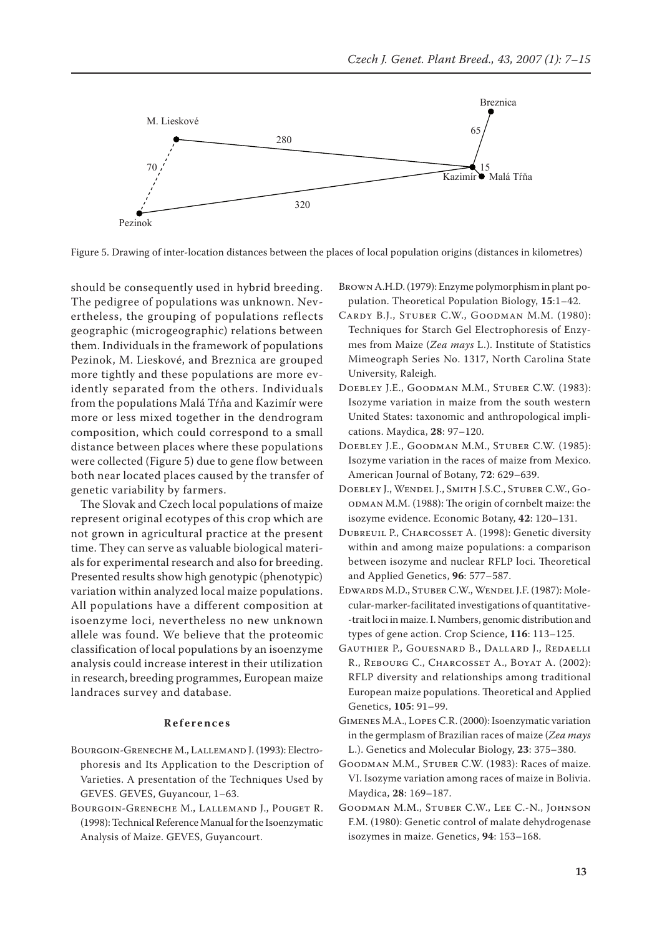

Figure 5. Drawing of inter-location distances between the places of local population origins (distances in kilometres)

should be consequently used in hybrid breeding. The pedigree of populations was unknown. Nevertheless, the grouping of populations reflects geographic (microgeographic) relations between them. Individuals in the framework of populations Pezinok, M. Lieskové, and Breznica are grouped more tightly and these populations are more evidently separated from the others. Individuals from the populations Malá Tŕňa and Kazimír were more or less mixed together in the dendrogram composition, which could correspond to a small distance between places where these populations were collected (Figure 5) due to gene flow between both near located places caused by the transfer of genetic variability by farmers.

The Slovak and Czech local populations of maize represent original ecotypes of this crop which are not grown in agricultural practice at the present time. They can serve as valuable biological materials for experimental research and also for breeding. Presented results show high genotypic (phenotypic) variation within analyzed local maize populations. All populations have a different composition at isoenzyme loci, nevertheless no new unknown allele was found. We believe that the proteomic classification of local populations by an isoenzyme analysis could increase interest in their utilization in research, breeding programmes, European maize landraces survey and database.

## **R e f e r e n c e s**

- Bourgoin-Greneche M., Lallemand J. (1993): Electrophoresis and Its Application to the Description of Varieties. A presentation of the Techniques Used by GEVES. GEVES, Guyancour, 1–63.
- Bourgoin-Greneche M., Lallemand J., Pouget R. (1998): Technical Reference Manual for the Isoenzymatic Analysis of Maize. GEVES, Guyancourt.

Brown A.H.D. (1979): Enzyme polymorphism in plant population. Theoretical Population Biology, **15**:1–42.

- Cardy B.J., Stuber C.W., Goodman M.M. (1980): Techniques for Starch Gel Electrophoresis of Enzymes from Maize (*Zea mays* L.). Institute of Statistics Mimeograph Series No. 1317, North Carolina State University, Raleigh.
- Doebley J.E., Goodman M.M., Stuber C.W. (1983): Isozyme variation in maize from the south western United States: taxonomic and anthropological implications. Maydica, **28**: 97–120.
- Doebley J.E., Goodman M.M., Stuber C.W. (1985): Isozyme variation in the races of maize from Mexico. American Journal of Botany, **72**: 629–639.
- Doebley J., Wendel J., Smith J.S.C., Stuber C.W., Goodman M.M. (1988): The origin of cornbelt maize: the isozyme evidence. Economic Botany, **42**: 120–131.
- Dubreuil P., Charcosset A. (1998): Genetic diversity within and among maize populations: a comparison between isozyme and nuclear RFLP loci. Theoretical and Applied Genetics, **96**: 577–587.
- Edwards M.D., Stuber C.W., Wendel J.F. (1987): Molecular-marker-facilitated investigations of quantitative- -trait loci in maize. I. Numbers, genomic distribution and types of gene action. Crop Science, **116**: 113–125.
- Gauthier P., Gouesnard B., Dallard J., Redaelli R., Rebourg C., Charcosset A., Boyat A. (2002): RFLP diversity and relationships among traditional European maize populations. Theoretical and Applied Genetics, **105**: 91–99.
- Gimenes M.A., Lopes C.R. (2000): Isoenzymatic variation in the germplasm of Brazilian races of maize (*Zea mays* L.). Genetics and Molecular Biology, **23**: 375–380.
- Goodman M.M., Stuber C.W. (1983): Races of maize. VI. Isozyme variation among races of maize in Bolivia. Maydica, **28**: 169–187.
- Goodman M.M., Stuber C.W., Lee C.-N., Johnson F.M. (1980): Genetic control of malate dehydrogenase isozymes in maize. Genetics, **94**: 153–168.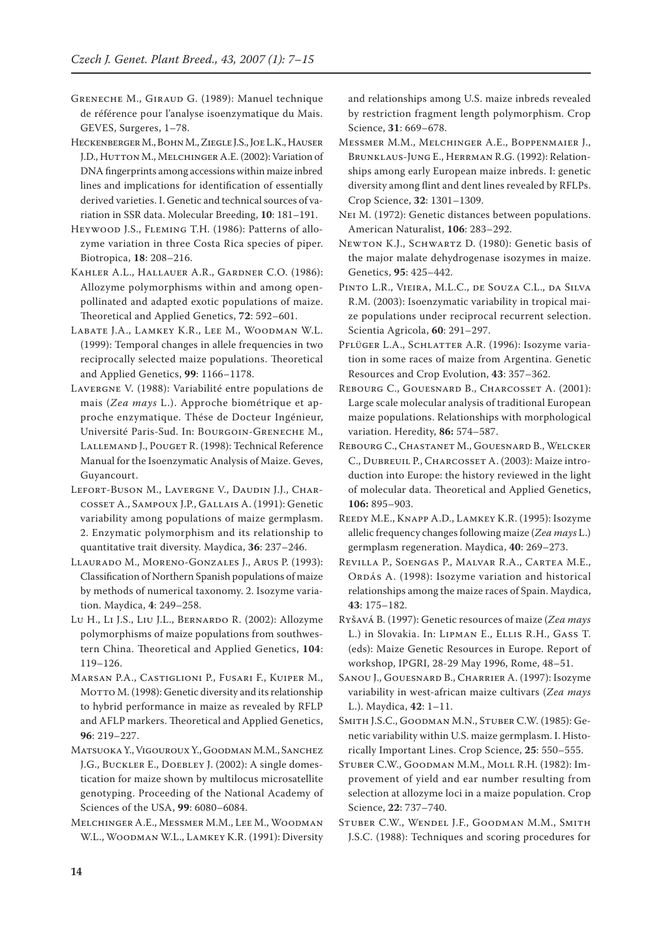GRENECHE M., GIRAUD G. (1989): Manuel technique de référence pour l'analyse isoenzymatique du Mais. GEVES, Surgeres, 1–78.

Heckenberger M., Bohn M., Ziegle J.S., Joe L.K., Hauser J.D., HUTTON M., MELCHINGER A.E. (2002): Variation of DNA fingerprints among accessions within maize inbred lines and implications for identification of essentially derived varieties. I. Genetic and technical sources of variation in SSR data. Molecular Breeding, **10**: 181–191.

HEYWOOD J.S., FLEMING T.H. (1986): Patterns of allozyme variation in three Costa Rica species of piper. Biotropica, **18**: 208–216.

Kahler A.L., Hallauer A.R., Gardner C.O. (1986): Allozyme polymorphisms within and among openpollinated and adapted exotic populations of maize. Theoretical and Applied Genetics, **72**: 592–601.

Labate J.A., Lamkey K.R., Lee M., Woodman W.L. (1999): Temporal changes in allele frequencies in two reciprocally selected maize populations. Theoretical and Applied Genetics, **99**: 1166–1178.

LAVERGNE V. (1988): Variabilité entre populations de mais (*Zea mays* L.). Approche biométrique et approche enzymatique. Thése de Docteur Ingénieur, Université Paris-Sud. In: Bourgoin-Greneche M., LALLEMAND J., POUGET R. (1998): Technical Reference Manual for the Isoenzymatic Analysis of Maize. Geves, Guyancourt.

Lefort-Buson M., Lavergne V., Daudin J.J., Charcosset A., Sampoux J.P., Gallais A. (1991): Genetic variability among populations of maize germplasm. 2. Enzymatic polymorphism and its relationship to quantitative trait diversity. Maydica, **36**: 237–246.

Llaurado M., Moreno-Gonzales J., Arus P. (1993): Classification of Northern Spanish populations of maize by methods of numerical taxonomy. 2. Isozyme variation. Maydica, **4**: 249–258.

Lu H., Li J.S., Liu J.L., Bernardo R. (2002): Allozyme polymorphisms of maize populations from southwestern China. Theoretical and Applied Genetics, **104**: 119–126.

Marsan P.A., Castiglioni P., Fusari F., Kuiper M., MOTTO M. (1998): Genetic diversity and its relationship to hybrid performance in maize as revealed by RFLP and AFLP markers. Theoretical and Applied Genetics, **96**: 219–227.

Matsuoka Y., Vigouroux Y., Goodman M.M., Sanchez J.G., Buckler E., Doebley J. (2002): A single domestication for maize shown by multilocus microsatellite genotyping. Proceeding of the National Academy of Sciences of the USA, **99**: 6080–6084.

Melchinger A.E., Messmer M.M., Lee M., Woodman W.L., Woodman W.L., Lamkey K.R. (1991): Diversity

and relationships among U.S. maize inbreds revealed by restriction fragment length polymorphism. Crop Science, **31**: 669–678.

Messmer M.M., Melchinger A.E., Boppenmaier J., Brunklaus-Jung E., Herrman R.G. (1992): Relationships among early European maize inbreds. I: genetic diversity among flint and dent lines revealed by RFLPs. Crop Science, **32**: 1301–1309.

Nei M. (1972): Genetic distances between populations. American Naturalist, **106**: 283–292.

Newton K.J., Schwartz D. (1980): Genetic basis of the major malate dehydrogenase isozymes in maize. Genetics, **95**: 425–442.

Pinto L.R., Vieira, M.L.C., de Souza C.L., da Silva R.M. (2003): Isoenzymatic variability in tropical maize populations under reciprocal recurrent selection. Scientia Agricola, **60**: 291–297.

PFLÜGER L.A., SCHLATTER A.R. (1996): Isozyme variation in some races of maize from Argentina. Genetic Resources and Crop Evolution, **43**: 357–362.

REBOURG C., GOUESNARD B., CHARCOSSET A. (2001): Large scale molecular analysis of traditional European maize populations. Relationships with morphological variation. Heredity, **86:** 574–587.

Rebourg C., Chastanet M., Gouesnard B., Welcker C., DUBREUIL P., CHARCOSSET A. (2003): Maize introduction into Europe: the history reviewed in the light of molecular data. Theoretical and Applied Genetics, **106:** 895–903.

Reedy M.E., Knapp A.D., Lamkey K.R. (1995): Isozyme allelic frequency changes following maize (*Zea mays* L.) germplasm regeneration. Maydica, **40**: 269–273.

Revilla P., Soengas P., Malvar R.A., Cartea M.E., Ordás A. (1998): Isozyme variation and historical relationships among the maize races of Spain. Maydica, **43**: 175–182.

Ryšavá B. (1997): Genetic resources of maize (*Zea mays* L.) in Slovakia. In: Lipman E., Ellis R.H., Gass T. (eds): Maize Genetic Resources in Europe. Report of workshop, IPGRI, 28-29 May 1996, Rome, 48–51.

Sanou J., Gouesnard B., Charrier A. (1997): Isozyme variability in west-african maize cultivars (*Zea mays* L.). Maydica, **42**: 1–11.

Smith J.S.C., Goodman M.N., Stuber C.W. (1985): Genetic variability within U.S. maize germplasm. I. Historically Important Lines. Crop Science, **25**: 550–555.

Stuber C.W., Goodman M.M., Moll R.H. (1982): Improvement of yield and ear number resulting from selection at allozyme loci in a maize population. Crop Science, **22**: 737–740.

Stuber C.W., Wendel J.F., Goodman M.M., Smith J.S.C. (1988): Techniques and scoring procedures for